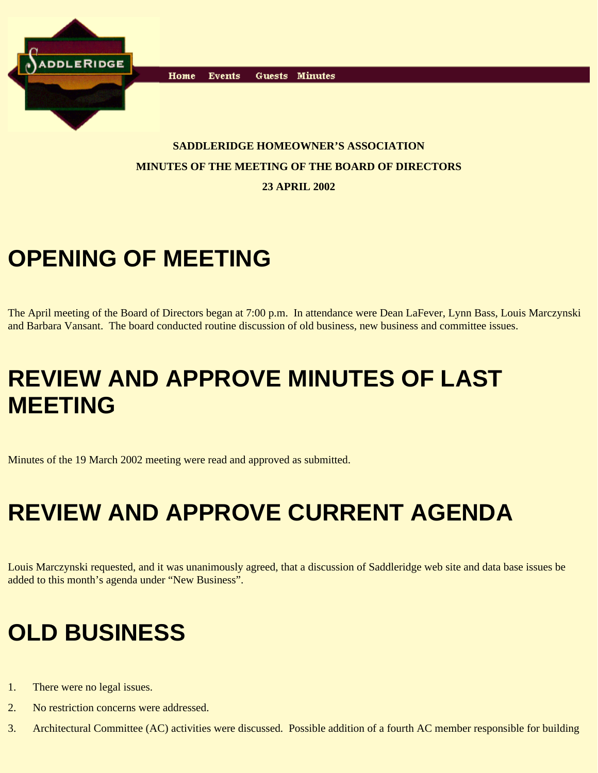

**Events** Home Guests Minutes

#### **SADDLERIDGE HOMEOWNER'S ASSOCIATION MINUTES OF THE MEETING OF THE BOARD OF DIRECTORS**

**23 APRIL 2002**

## **OPENING OF MEETING**

The April meeting of the Board of Directors began at 7:00 p.m. In attendance were Dean LaFever, Lynn Bass, Louis Marczynski and Barbara Vansant. The board conducted routine discussion of old business, new business and committee issues.

### **REVIEW AND APPROVE MINUTES OF LAST MEETING**

Minutes of the 19 March 2002 meeting were read and approved as submitted.

# **REVIEW AND APPROVE CURRENT AGENDA**

Louis Marczynski requested, and it was unanimously agreed, that a discussion of Saddleridge web site and data base issues be added to this month's agenda under "New Business".

## **OLD BUSINESS**

- 1. There were no legal issues.
- 2. No restriction concerns were addressed.
- 3. Architectural Committee (AC) activities were discussed. Possible addition of a fourth AC member responsible for building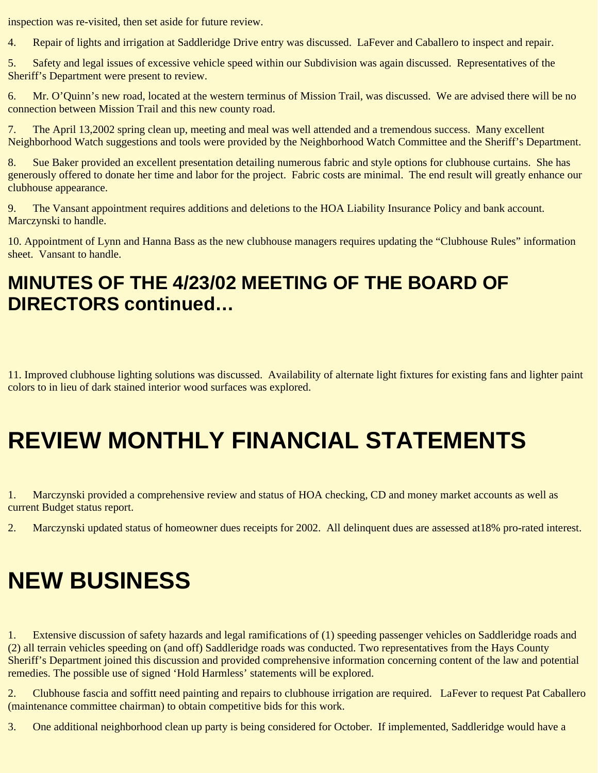inspection was re-visited, then set aside for future review.

4. Repair of lights and irrigation at Saddleridge Drive entry was discussed. LaFever and Caballero to inspect and repair.

5. Safety and legal issues of excessive vehicle speed within our Subdivision was again discussed. Representatives of the Sheriff's Department were present to review.

6. Mr. O'Quinn's new road, located at the western terminus of Mission Trail, was discussed. We are advised there will be no connection between Mission Trail and this new county road.

7. The April 13,2002 spring clean up, meeting and meal was well attended and a tremendous success. Many excellent Neighborhood Watch suggestions and tools were provided by the Neighborhood Watch Committee and the Sheriff's Department.

8. Sue Baker provided an excellent presentation detailing numerous fabric and style options for clubhouse curtains. She has generously offered to donate her time and labor for the project. Fabric costs are minimal. The end result will greatly enhance our clubhouse appearance.

9. The Vansant appointment requires additions and deletions to the HOA Liability Insurance Policy and bank account. Marczynski to handle.

10. Appointment of Lynn and Hanna Bass as the new clubhouse managers requires updating the "Clubhouse Rules" information sheet. Vansant to handle.

#### **MINUTES OF THE 4/23/02 MEETING OF THE BOARD OF DIRECTORS continued…**

11. Improved clubhouse lighting solutions was discussed. Availability of alternate light fixtures for existing fans and lighter paint colors to in lieu of dark stained interior wood surfaces was explored.

### **REVIEW MONTHLY FINANCIAL STATEMENTS**

1. Marczynski provided a comprehensive review and status of HOA checking, CD and money market accounts as well as current Budget status report.

2. Marczynski updated status of homeowner dues receipts for 2002. All delinquent dues are assessed at18% pro-rated interest.

## **NEW BUSINESS**

1. Extensive discussion of safety hazards and legal ramifications of (1) speeding passenger vehicles on Saddleridge roads and (2) all terrain vehicles speeding on (and off) Saddleridge roads was conducted. Two representatives from the Hays County Sheriff's Department joined this discussion and provided comprehensive information concerning content of the law and potential remedies. The possible use of signed 'Hold Harmless' statements will be explored.

2. Clubhouse fascia and soffitt need painting and repairs to clubhouse irrigation are required. LaFever to request Pat Caballero (maintenance committee chairman) to obtain competitive bids for this work.

3. One additional neighborhood clean up party is being considered for October. If implemented, Saddleridge would have a